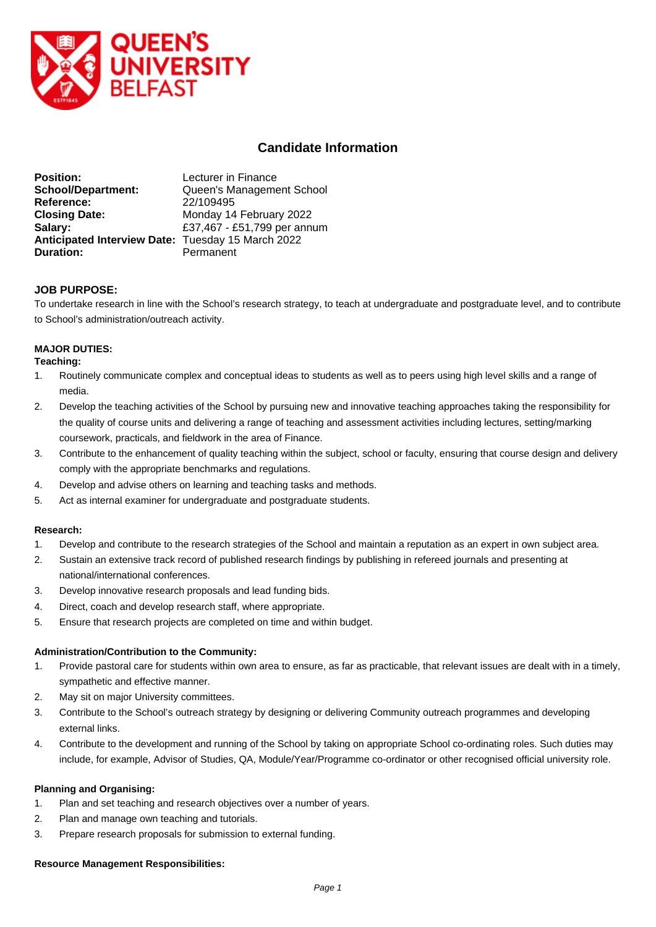

# **Candidate Information**

| <b>Position:</b>                                  | Lecturer in Finance         |
|---------------------------------------------------|-----------------------------|
| <b>School/Department:</b>                         | Queen's Management School   |
| Reference:                                        | 22/109495                   |
| <b>Closing Date:</b>                              | Monday 14 February 2022     |
| Salary:                                           | £37,467 - £51,799 per annum |
| Anticipated Interview Date: Tuesday 15 March 2022 |                             |
| <b>Duration:</b>                                  | Permanent                   |

## **JOB PURPOSE:**

To undertake research in line with the School's research strategy, to teach at undergraduate and postgraduate level, and to contribute to School's administration/outreach activity.

## **MAJOR DUTIES:**

## **Teaching:**

- 1. Routinely communicate complex and conceptual ideas to students as well as to peers using high level skills and a range of media.
- 2. Develop the teaching activities of the School by pursuing new and innovative teaching approaches taking the responsibility for the quality of course units and delivering a range of teaching and assessment activities including lectures, setting/marking coursework, practicals, and fieldwork in the area of Finance.
- 3. Contribute to the enhancement of quality teaching within the subject, school or faculty, ensuring that course design and delivery comply with the appropriate benchmarks and regulations.
- 4. Develop and advise others on learning and teaching tasks and methods.
- 5. Act as internal examiner for undergraduate and postgraduate students.

## **Research:**

- 1. Develop and contribute to the research strategies of the School and maintain a reputation as an expert in own subject area.
- 2. Sustain an extensive track record of published research findings by publishing in refereed journals and presenting at national/international conferences.
- 3. Develop innovative research proposals and lead funding bids.
- 4. Direct, coach and develop research staff, where appropriate.
- 5. Ensure that research projects are completed on time and within budget.

## **Administration/Contribution to the Community:**

- 1. Provide pastoral care for students within own area to ensure, as far as practicable, that relevant issues are dealt with in a timely, sympathetic and effective manner.
- 2. May sit on major University committees.
- 3. Contribute to the School's outreach strategy by designing or delivering Community outreach programmes and developing external links.
- 4. Contribute to the development and running of the School by taking on appropriate School co-ordinating roles. Such duties may include, for example, Advisor of Studies, QA, Module/Year/Programme co-ordinator or other recognised official university role.

#### **Planning and Organising:**

- 1. Plan and set teaching and research objectives over a number of years.
- 2. Plan and manage own teaching and tutorials.
- 3. Prepare research proposals for submission to external funding.

# **Resource Management Responsibilities:**